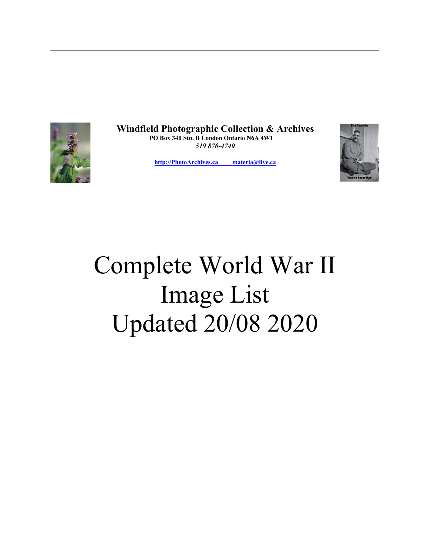

**Windfield Photographic Collection & Archives PO Box 340 Stn. B London Ontario N6A 4W1**  *519 870-4740*

**[http://PhotoArchives.ca materia@live.ca](mailto:hmspress@outlook.com)**



## Complete World War II Image List Updated 20/08 2020